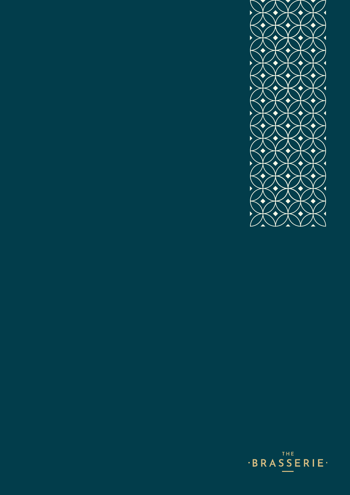